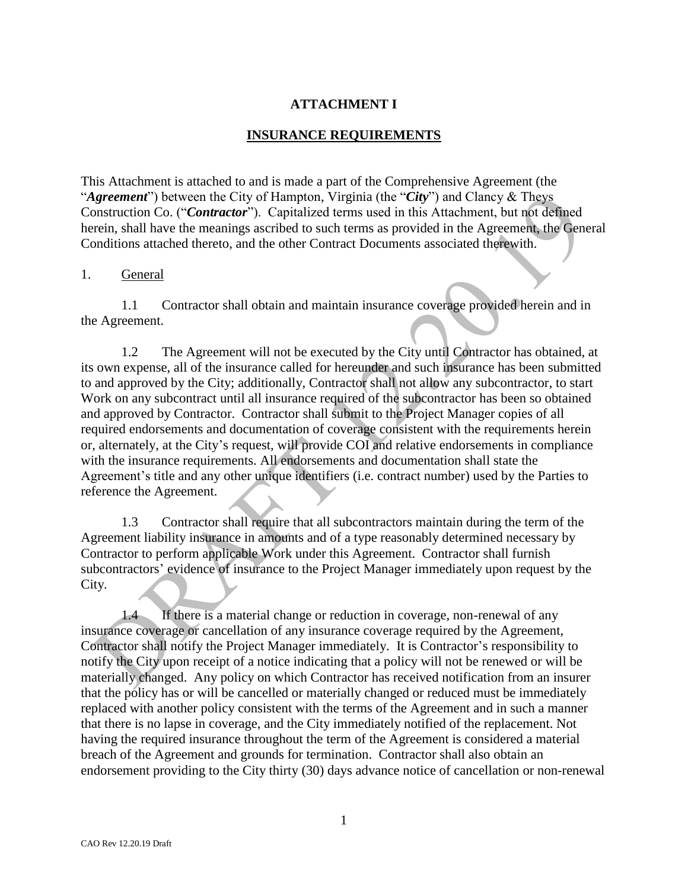# **ATTACHMENT I**

### **INSURANCE REQUIREMENTS**

This Attachment is attached to and is made a part of the Comprehensive Agreement (the "*Agreement*") between the City of Hampton, Virginia (the "*City*") and Clancy & Theys Construction Co. ("*Contractor*"). Capitalized terms used in this Attachment, but not defined herein, shall have the meanings ascribed to such terms as provided in the Agreement, the General Conditions attached thereto, and the other Contract Documents associated therewith.

### 1. General

1.1 Contractor shall obtain and maintain insurance coverage provided herein and in the Agreement.

1.2 The Agreement will not be executed by the City until Contractor has obtained, at its own expense, all of the insurance called for hereunder and such insurance has been submitted to and approved by the City; additionally, Contractor shall not allow any subcontractor, to start Work on any subcontract until all insurance required of the subcontractor has been so obtained and approved by Contractor. Contractor shall submit to the Project Manager copies of all required endorsements and documentation of coverage consistent with the requirements herein or, alternately, at the City's request, will provide COI and relative endorsements in compliance with the insurance requirements. All endorsements and documentation shall state the Agreement's title and any other unique identifiers (i.e. contract number) used by the Parties to reference the Agreement.

1.3 Contractor shall require that all subcontractors maintain during the term of the Agreement liability insurance in amounts and of a type reasonably determined necessary by Contractor to perform applicable Work under this Agreement. Contractor shall furnish subcontractors' evidence of insurance to the Project Manager immediately upon request by the City.

1.4 If there is a material change or reduction in coverage, non-renewal of any insurance coverage or cancellation of any insurance coverage required by the Agreement, Contractor shall notify the Project Manager immediately. It is Contractor's responsibility to notify the City upon receipt of a notice indicating that a policy will not be renewed or will be materially changed. Any policy on which Contractor has received notification from an insurer that the policy has or will be cancelled or materially changed or reduced must be immediately replaced with another policy consistent with the terms of the Agreement and in such a manner that there is no lapse in coverage, and the City immediately notified of the replacement. Not having the required insurance throughout the term of the Agreement is considered a material breach of the Agreement and grounds for termination. Contractor shall also obtain an endorsement providing to the City thirty (30) days advance notice of cancellation or non-renewal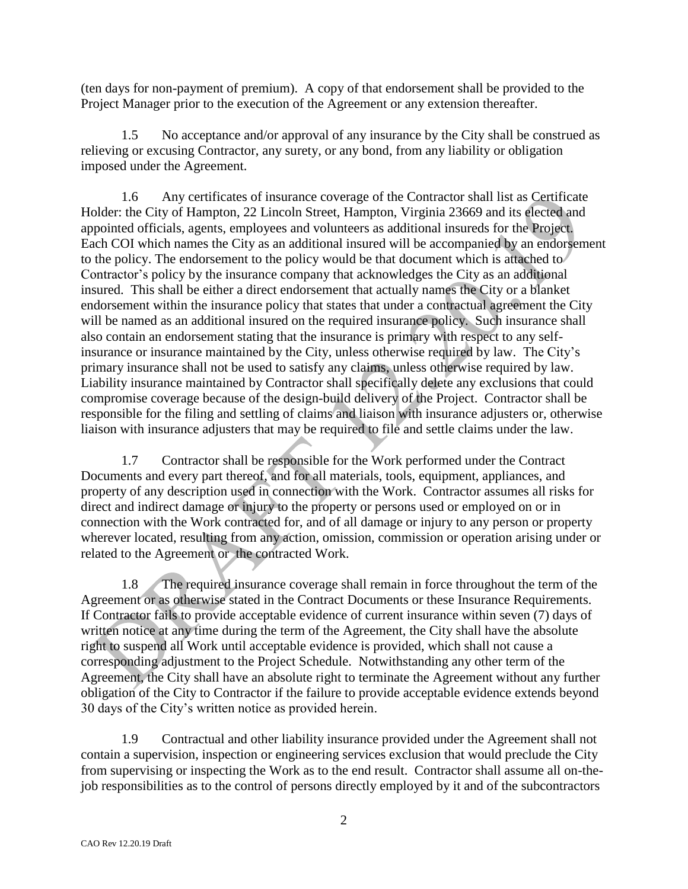(ten days for non-payment of premium). A copy of that endorsement shall be provided to the Project Manager prior to the execution of the Agreement or any extension thereafter.

1.5 No acceptance and/or approval of any insurance by the City shall be construed as relieving or excusing Contractor, any surety, or any bond, from any liability or obligation imposed under the Agreement.

1.6 Any certificates of insurance coverage of the Contractor shall list as Certificate Holder: the City of Hampton, 22 Lincoln Street, Hampton, Virginia 23669 and its elected and appointed officials, agents, employees and volunteers as additional insureds for the Project. Each COI which names the City as an additional insured will be accompanied by an endorsement to the policy. The endorsement to the policy would be that document which is attached to Contractor's policy by the insurance company that acknowledges the City as an additional insured. This shall be either a direct endorsement that actually names the City or a blanket endorsement within the insurance policy that states that under a contractual agreement the City will be named as an additional insured on the required insurance policy. Such insurance shall also contain an endorsement stating that the insurance is primary with respect to any selfinsurance or insurance maintained by the City, unless otherwise required by law. The City's primary insurance shall not be used to satisfy any claims, unless otherwise required by law. Liability insurance maintained by Contractor shall specifically delete any exclusions that could compromise coverage because of the design-build delivery of the Project. Contractor shall be responsible for the filing and settling of claims and liaison with insurance adjusters or, otherwise liaison with insurance adjusters that may be required to file and settle claims under the law.

1.7 Contractor shall be responsible for the Work performed under the Contract Documents and every part thereof, and for all materials, tools, equipment, appliances, and property of any description used in connection with the Work. Contractor assumes all risks for direct and indirect damage or injury to the property or persons used or employed on or in connection with the Work contracted for, and of all damage or injury to any person or property wherever located, resulting from any action, omission, commission or operation arising under or related to the Agreement or the contracted Work.

1.8 The required insurance coverage shall remain in force throughout the term of the Agreement or as otherwise stated in the Contract Documents or these Insurance Requirements. If Contractor fails to provide acceptable evidence of current insurance within seven (7) days of written notice at any time during the term of the Agreement, the City shall have the absolute right to suspend all Work until acceptable evidence is provided, which shall not cause a corresponding adjustment to the Project Schedule. Notwithstanding any other term of the Agreement, the City shall have an absolute right to terminate the Agreement without any further obligation of the City to Contractor if the failure to provide acceptable evidence extends beyond 30 days of the City's written notice as provided herein.

1.9 Contractual and other liability insurance provided under the Agreement shall not contain a supervision, inspection or engineering services exclusion that would preclude the City from supervising or inspecting the Work as to the end result. Contractor shall assume all on-thejob responsibilities as to the control of persons directly employed by it and of the subcontractors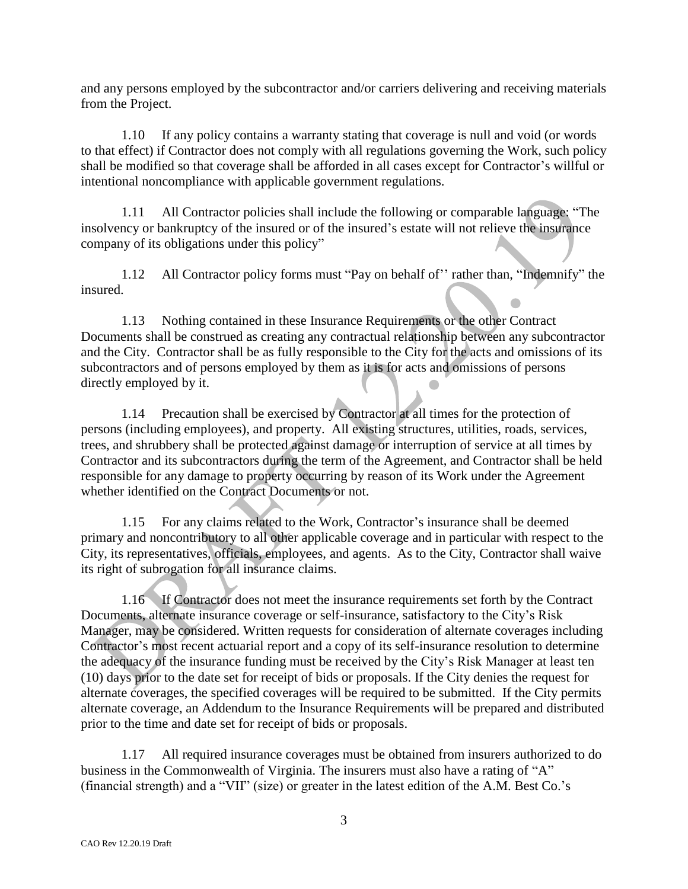and any persons employed by the subcontractor and/or carriers delivering and receiving materials from the Project.

1.10 If any policy contains a warranty stating that coverage is null and void (or words to that effect) if Contractor does not comply with all regulations governing the Work, such policy shall be modified so that coverage shall be afforded in all cases except for Contractor's willful or intentional noncompliance with applicable government regulations.

1.11 All Contractor policies shall include the following or comparable language: "The insolvency or bankruptcy of the insured or of the insured's estate will not relieve the insurance company of its obligations under this policy"

1.12 All Contractor policy forms must "Pay on behalf of'' rather than, "Indemnify" the insured.

1.13 Nothing contained in these Insurance Requirements or the other Contract Documents shall be construed as creating any contractual relationship between any subcontractor and the City. Contractor shall be as fully responsible to the City for the acts and omissions of its subcontractors and of persons employed by them as it is for acts and omissions of persons directly employed by it.

1.14 Precaution shall be exercised by Contractor at all times for the protection of persons (including employees), and property. All existing structures, utilities, roads, services, trees, and shrubbery shall be protected against damage or interruption of service at all times by Contractor and its subcontractors during the term of the Agreement, and Contractor shall be held responsible for any damage to property occurring by reason of its Work under the Agreement whether identified on the Contract Documents or not.

1.15 For any claims related to the Work, Contractor's insurance shall be deemed primary and noncontributory to all other applicable coverage and in particular with respect to the City, its representatives, officials, employees, and agents. As to the City, Contractor shall waive its right of subrogation for all insurance claims.

1.16 If Contractor does not meet the insurance requirements set forth by the Contract Documents, alternate insurance coverage or self-insurance, satisfactory to the City's Risk Manager, may be considered. Written requests for consideration of alternate coverages including Contractor's most recent actuarial report and a copy of its self-insurance resolution to determine the adequacy of the insurance funding must be received by the City's Risk Manager at least ten (10) days prior to the date set for receipt of bids or proposals. If the City denies the request for alternate coverages, the specified coverages will be required to be submitted. If the City permits alternate coverage, an Addendum to the Insurance Requirements will be prepared and distributed prior to the time and date set for receipt of bids or proposals.

1.17 All required insurance coverages must be obtained from insurers authorized to do business in the Commonwealth of Virginia. The insurers must also have a rating of "A" (financial strength) and a "VII" (size) or greater in the latest edition of the A.M. Best Co.'s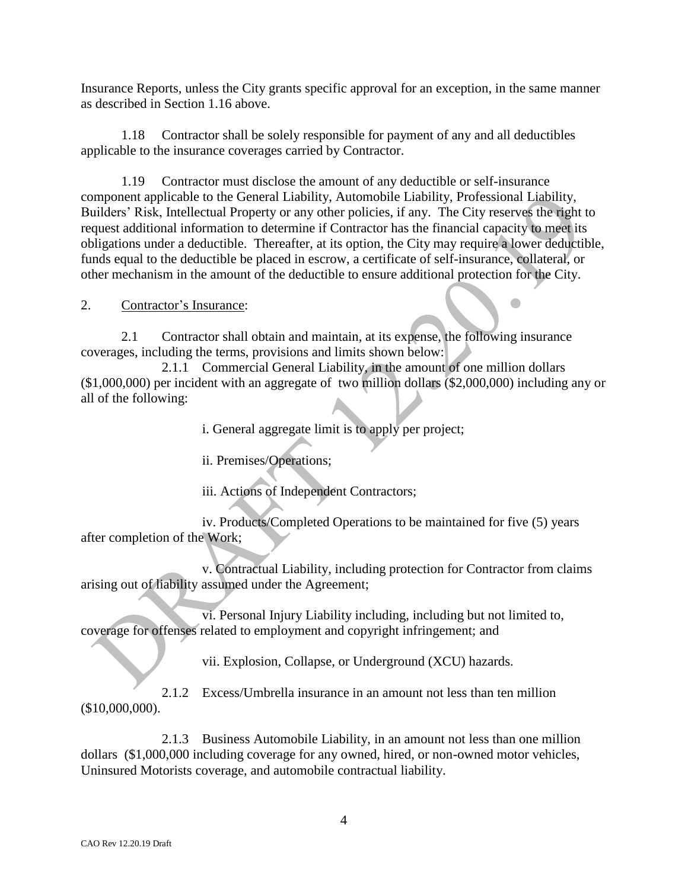Insurance Reports, unless the City grants specific approval for an exception, in the same manner as described in Section 1.16 above.

1.18 Contractor shall be solely responsible for payment of any and all deductibles applicable to the insurance coverages carried by Contractor.

1.19 Contractor must disclose the amount of any deductible or self-insurance component applicable to the General Liability, Automobile Liability, Professional Liability, Builders' Risk, Intellectual Property or any other policies, if any. The City reserves the right to request additional information to determine if Contractor has the financial capacity to meet its obligations under a deductible. Thereafter, at its option, the City may require a lower deductible, funds equal to the deductible be placed in escrow, a certificate of self-insurance, collateral, or other mechanism in the amount of the deductible to ensure additional protection for the City.

2. Contractor's Insurance:

2.1 Contractor shall obtain and maintain, at its expense, the following insurance coverages, including the terms, provisions and limits shown below:

2.1.1 Commercial General Liability, in the amount of one million dollars (\$1,000,000) per incident with an aggregate of two million dollars (\$2,000,000) including any or all of the following:

i. General aggregate limit is to apply per project;

ii. Premises/Operations;

iii. Actions of Independent Contractors;

iv. Products/Completed Operations to be maintained for five (5) years after completion of the Work;

v. Contractual Liability, including protection for Contractor from claims arising out of liability assumed under the Agreement;

vi. Personal Injury Liability including, including but not limited to, coverage for offenses related to employment and copyright infringement; and

vii. Explosion, Collapse, or Underground (XCU) hazards.

2.1.2 Excess/Umbrella insurance in an amount not less than ten million (\$10,000,000).

2.1.3 Business Automobile Liability, in an amount not less than one million dollars (\$1,000,000 including coverage for any owned, hired, or non-owned motor vehicles, Uninsured Motorists coverage, and automobile contractual liability.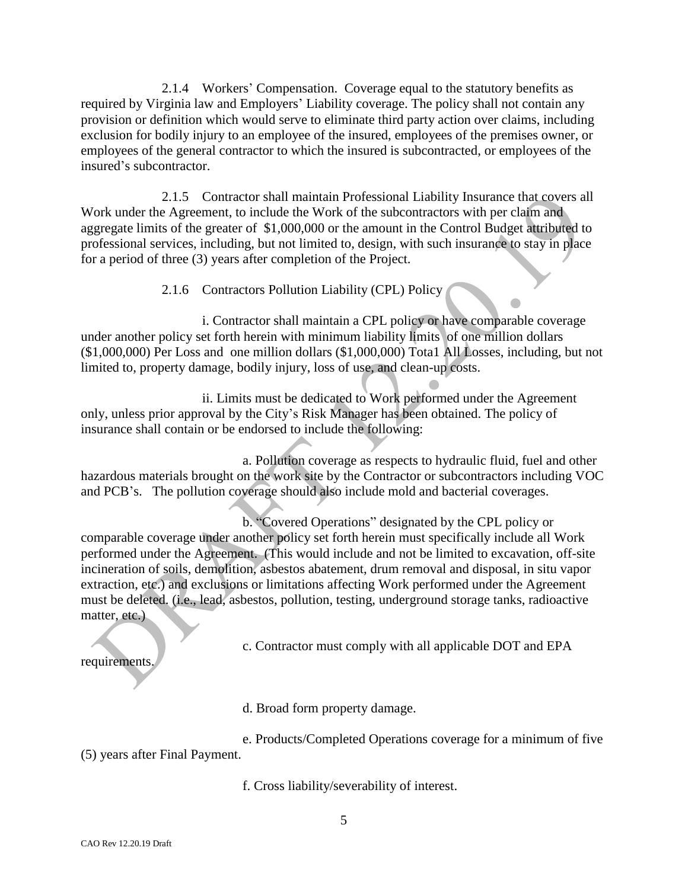2.1.4 Workers' Compensation. Coverage equal to the statutory benefits as required by Virginia law and Employers' Liability coverage. The policy shall not contain any provision or definition which would serve to eliminate third party action over claims, including exclusion for bodily injury to an employee of the insured, employees of the premises owner, or employees of the general contractor to which the insured is subcontracted, or employees of the insured's subcontractor.

2.1.5 Contractor shall maintain Professional Liability Insurance that covers all Work under the Agreement, to include the Work of the subcontractors with per claim and aggregate limits of the greater of \$1,000,000 or the amount in the Control Budget attributed to professional services, including, but not limited to, design, with such insurance to stay in place for a period of three (3) years after completion of the Project.

2.1.6 Contractors Pollution Liability (CPL) Policy

i. Contractor shall maintain a CPL policy or have comparable coverage under another policy set forth herein with minimum liability limits of one million dollars (\$1,000,000) Per Loss and one million dollars (\$1,000,000) Tota1 All Losses, including, but not limited to, property damage, bodily injury, loss of use, and clean-up costs.

ii. Limits must be dedicated to Work performed under the Agreement only, unless prior approval by the City's Risk Manager has been obtained. The policy of insurance shall contain or be endorsed to include the following:

a. Pollution coverage as respects to hydraulic fluid, fuel and other hazardous materials brought on the work site by the Contractor or subcontractors including VOC and PCB's. The pollution coverage should also include mold and bacterial coverages.

b. "Covered Operations" designated by the CPL policy or comparable coverage under another policy set forth herein must specifically include all Work performed under the Agreement. (This would include and not be limited to excavation, off-site incineration of soils, demolition, asbestos abatement, drum removal and disposal, in situ vapor extraction, etc.) and exclusions or limitations affecting Work performed under the Agreement must be deleted. (i.e., lead, asbestos, pollution, testing, underground storage tanks, radioactive matter, etc.)

c. Contractor must comply with all applicable DOT and EPA

requirements.

d. Broad form property damage.

e. Products/Completed Operations coverage for a minimum of five (5) years after Final Payment.

f. Cross liability/severability of interest.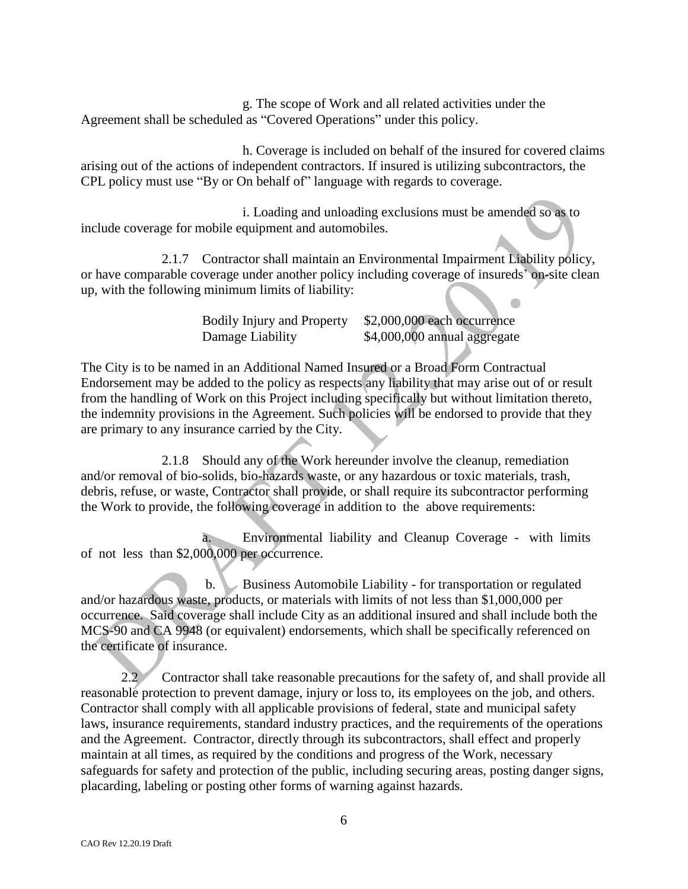g. The scope of Work and all related activities under the Agreement shall be scheduled as "Covered Operations" under this policy.

h. Coverage is included on behalf of the insured for covered claims arising out of the actions of independent contractors. If insured is utilizing subcontractors, the CPL policy must use "By or On behalf of" language with regards to coverage.

i. Loading and unloading exclusions must be amended so as to include coverage for mobile equipment and automobiles.

2.1.7 Contractor shall maintain an Environmental Impairment Liability policy, or have comparable coverage under another policy including coverage of insureds' on-site clean up, with the following minimum limits of liability:

> Bodily Injury and Property \$2,000,000 each occurrence Damage Liability  $$4,000,000$  annual aggregate

The City is to be named in an Additional Named Insured or a Broad Form Contractual Endorsement may be added to the policy as respects any liability that may arise out of or result from the handling of Work on this Project including specifically but without limitation thereto, the indemnity provisions in the Agreement. Such policies will be endorsed to provide that they are primary to any insurance carried by the City.

2.1.8 Should any of the Work hereunder involve the cleanup, remediation and/or removal of bio-solids, bio-hazards waste, or any hazardous or toxic materials, trash, debris, refuse, or waste, Contractor shall provide, or shall require its subcontractor performing the Work to provide, the following coverage in addition to the above requirements:

a. Environmental liability and Cleanup Coverage - with limits of not less than \$2,000,000 per occurrence.

b. Business Automobile Liability - for transportation or regulated and/or hazardous waste, products, or materials with limits of not less than \$1,000,000 per occurrence. Said coverage shall include City as an additional insured and shall include both the MCS-90 and CA 9948 (or equivalent) endorsements, which shall be specifically referenced on the certificate of insurance.

2.2 Contractor shall take reasonable precautions for the safety of, and shall provide all reasonable protection to prevent damage, injury or loss to, its employees on the job, and others. Contractor shall comply with all applicable provisions of federal, state and municipal safety laws, insurance requirements, standard industry practices, and the requirements of the operations and the Agreement. Contractor, directly through its subcontractors, shall effect and properly maintain at all times, as required by the conditions and progress of the Work, necessary safeguards for safety and protection of the public, including securing areas, posting danger signs, placarding, labeling or posting other forms of warning against hazards.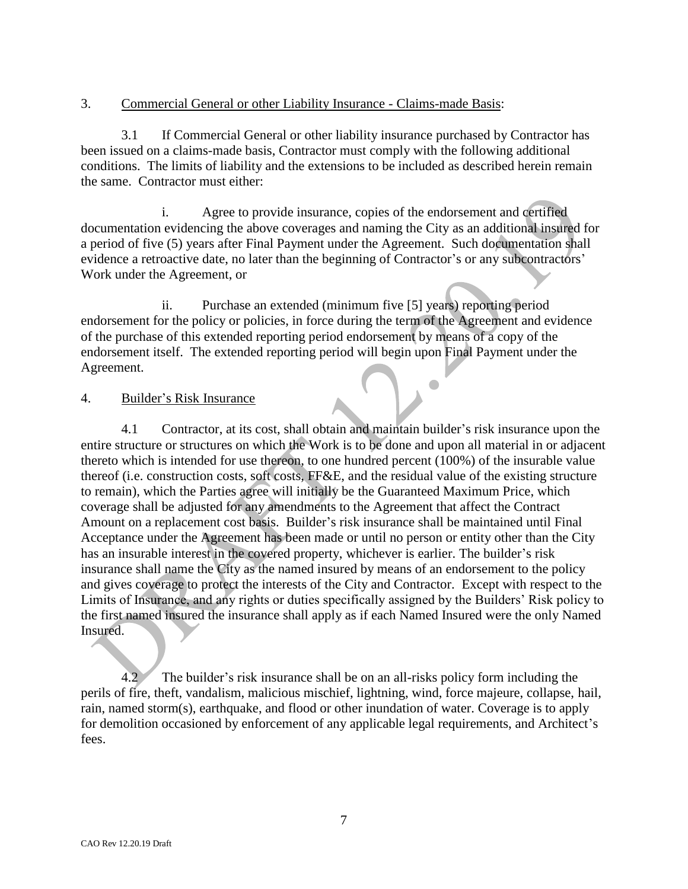## 3. Commercial General or other Liability Insurance - Claims-made Basis:

3.1 If Commercial General or other liability insurance purchased by Contractor has been issued on a claims-made basis, Contractor must comply with the following additional conditions. The limits of liability and the extensions to be included as described herein remain the same. Contractor must either:

i. Agree to provide insurance, copies of the endorsement and certified documentation evidencing the above coverages and naming the City as an additional insured for a period of five (5) years after Final Payment under the Agreement. Such documentation shall evidence a retroactive date, no later than the beginning of Contractor's or any subcontractors' Work under the Agreement, or

ii. Purchase an extended (minimum five [5] years) reporting period endorsement for the policy or policies, in force during the term of the Agreement and evidence of the purchase of this extended reporting period endorsement by means of a copy of the endorsement itself. The extended reporting period will begin upon Final Payment under the Agreement.

 $\bullet$ 

## 4. Builder's Risk Insurance

4.1 Contractor, at its cost, shall obtain and maintain builder's risk insurance upon the entire structure or structures on which the Work is to be done and upon all material in or adjacent thereto which is intended for use thereon, to one hundred percent (100%) of the insurable value thereof (i.e. construction costs, soft costs, FF&E, and the residual value of the existing structure to remain), which the Parties agree will initially be the Guaranteed Maximum Price, which coverage shall be adjusted for any amendments to the Agreement that affect the Contract Amount on a replacement cost basis. Builder's risk insurance shall be maintained until Final Acceptance under the Agreement has been made or until no person or entity other than the City has an insurable interest in the covered property, whichever is earlier. The builder's risk insurance shall name the City as the named insured by means of an endorsement to the policy and gives coverage to protect the interests of the City and Contractor. Except with respect to the Limits of Insurance, and any rights or duties specifically assigned by the Builders' Risk policy to the first named insured the insurance shall apply as if each Named Insured were the only Named Insured.

4.2 The builder's risk insurance shall be on an all-risks policy form including the perils of fire, theft, vandalism, malicious mischief, lightning, wind, force majeure, collapse, hail, rain, named storm(s), earthquake, and flood or other inundation of water. Coverage is to apply for demolition occasioned by enforcement of any applicable legal requirements, and Architect's fees.